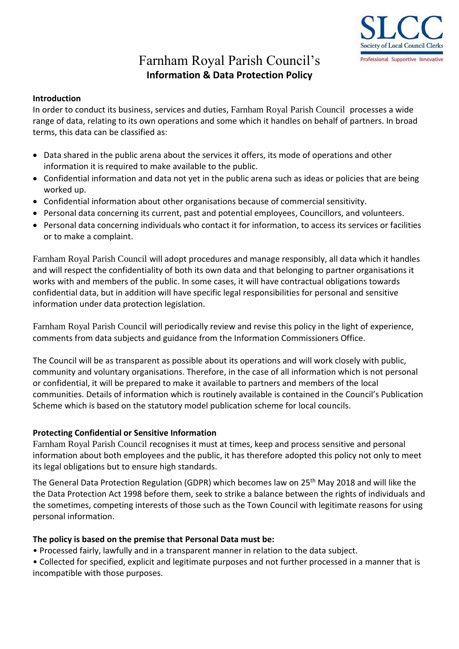

# Farnham Royal Parish Council's **Information & Data Protection Policy**

#### **Introduction**

In order to conduct its business, services and duties, Farnham Royal Parish Council processes a wide range of data, relating to its own operations and some which it handles on behalf of partners. In broad terms, this data can be classified as:

- Data shared in the public arena about the services it offers, its mode of operations and other information it is required to make available to the public.
- Confidential information and data not yet in the public arena such as ideas or policies that are being worked up.
- Confidential information about other organisations because of commercial sensitivity.
- Personal data concerning its current, past and potential employees, Councillors, and volunteers.
- Personal data concerning individuals who contact it for information, to access its services or facilities or to make a complaint.

Farnham Royal Parish Council will adopt procedures and manage responsibly, all data which it handles and will respect the confidentiality of both its own data and that belonging to partner organisations it works with and members of the public. In some cases, it will have contractual obligations towards confidential data, but in addition will have specific legal responsibilities for personal and sensitive information under data protection legislation.

Farnham Royal Parish Council will periodically review and revise this policy in the light of experience, comments from data subjects and guidance from the Information Commissioners Office.

The Council will be as transparent as possible about its operations and will work closely with public, community and voluntary organisations. Therefore, in the case of all information which is not personal or confidential, it will be prepared to make it available to partners and members of the local communities. Details of information which is routinely available is contained in the Council's Publication Scheme which is based on the statutory model publication scheme for local councils.

#### **Protecting Confidential or Sensitive Information**

Farnham Royal Parish Council recognises it must at times, keep and process sensitive and personal information about both employees and the public, it has therefore adopted this policy not only to meet its legal obligations but to ensure high standards.

The General Data Protection Regulation (GDPR) which becomes law on 25<sup>th</sup> May 2018 and will like the the Data Protection Act 1998 before them, seek to strike a balance between the rights of individuals and the sometimes, competing interests of those such as the Town Council with legitimate reasons for using personal information.

#### **The policy is based on the premise that Personal Data must be:**

• Processed fairly, lawfully and in a transparent manner in relation to the data subject.

• Collected for specified, explicit and legitimate purposes and not further processed in a manner that is incompatible with those purposes.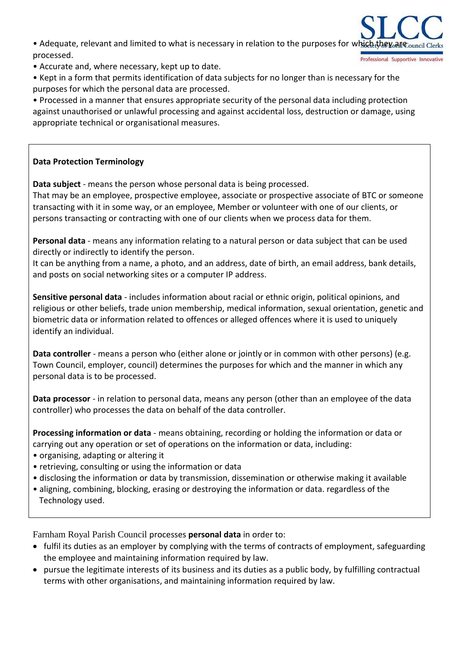• Adequate, relevant and limited to what is necessary in relation to the purposes for which they cancil processed. Professional Supportive Innovativ

- Accurate and, where necessary, kept up to date.
- Kept in a form that permits identification of data subjects for no longer than is necessary for the purposes for which the personal data are processed.

• Processed in a manner that ensures appropriate security of the personal data including protection against unauthorised or unlawful processing and against accidental loss, destruction or damage, using appropriate technical or organisational measures.

# **Data Protection Terminology**

**Data subject** - means the person whose personal data is being processed.

That may be an employee, prospective employee, associate or prospective associate of BTC or someone transacting with it in some way, or an employee, Member or volunteer with one of our clients, or persons transacting or contracting with one of our clients when we process data for them.

**Personal data** - means any information relating to a natural person or data subject that can be used directly or indirectly to identify the person.

It can be anything from a name, a photo, and an address, date of birth, an email address, bank details, and posts on social networking sites or a computer IP address.

**Sensitive personal data** - includes information about racial or ethnic origin, political opinions, and religious or other beliefs, trade union membership, medical information, sexual orientation, genetic and biometric data or information related to offences or alleged offences where it is used to uniquely identify an individual.

**Data controller** - means a person who (either alone or jointly or in common with other persons) (e.g. Town Council, employer, council) determines the purposes for which and the manner in which any personal data is to be processed.

**Data processor** - in relation to personal data, means any person (other than an employee of the data controller) who processes the data on behalf of the data controller.

**Processing information or data** - means obtaining, recording or holding the information or data or carrying out any operation or set of operations on the information or data, including:

- organising, adapting or altering it
- retrieving, consulting or using the information or data
- disclosing the information or data by transmission, dissemination or otherwise making it available
- aligning, combining, blocking, erasing or destroying the information or data. regardless of the Technology used.

Farnham Royal Parish Council processes **personal data** in order to:

- fulfil its duties as an employer by complying with the terms of contracts of employment, safeguarding the employee and maintaining information required by law.
- pursue the legitimate interests of its business and its duties as a public body, by fulfilling contractual terms with other organisations, and maintaining information required by law.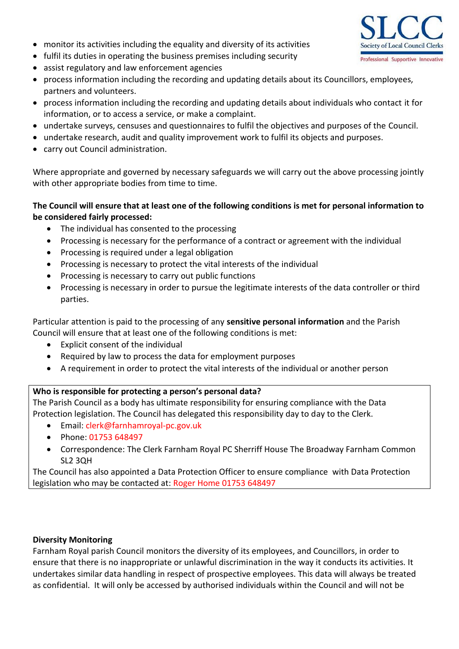- monitor its activities including the equality and diversity of its activities
- fulfil its duties in operating the business premises including security
- assist regulatory and law enforcement agencies
- process information including the recording and updating details about its Councillors, employees, partners and volunteers.
- process information including the recording and updating details about individuals who contact it for information, or to access a service, or make a complaint.
- undertake surveys, censuses and questionnaires to fulfil the objectives and purposes of the Council.
- undertake research, audit and quality improvement work to fulfil its objects and purposes.
- carry out Council administration.

Where appropriate and governed by necessary safeguards we will carry out the above processing jointly with other appropriate bodies from time to time.

## **The Council will ensure that at least one of the following conditions is met for personal information to be considered fairly processed:**

- The individual has consented to the processing
- Processing is necessary for the performance of a contract or agreement with the individual
- Processing is required under a legal obligation
- Processing is necessary to protect the vital interests of the individual
- Processing is necessary to carry out public functions
- Processing is necessary in order to pursue the legitimate interests of the data controller or third parties.

Particular attention is paid to the processing of any **sensitive personal information** and the Parish Council will ensure that at least one of the following conditions is met:

- Explicit consent of the individual
- Required by law to process the data for employment purposes
- A requirement in order to protect the vital interests of the individual or another person

# **Who is responsible for protecting a person's personal data?**

The Parish Council as a body has ultimate responsibility for ensuring compliance with the Data Protection legislation. The Council has delegated this responsibility day to day to the Clerk.

- Email: clerk@farnhamroyal-pc.gov.uk
- Phone: 01753 648497
- Correspondence: The Clerk Farnham Royal PC Sherriff House The Broadway Farnham Common SL2 3QH

The Council has also appointed a Data Protection Officer to ensure compliance with Data Protection legislation who may be contacted at: Roger Home 01753 648497

## **Diversity Monitoring**

Farnham Royal parish Council monitors the diversity of its employees, and Councillors, in order to ensure that there is no inappropriate or unlawful discrimination in the way it conducts its activities. It undertakes similar data handling in respect of prospective employees. This data will always be treated as confidential. It will only be accessed by authorised individuals within the Council and will not be

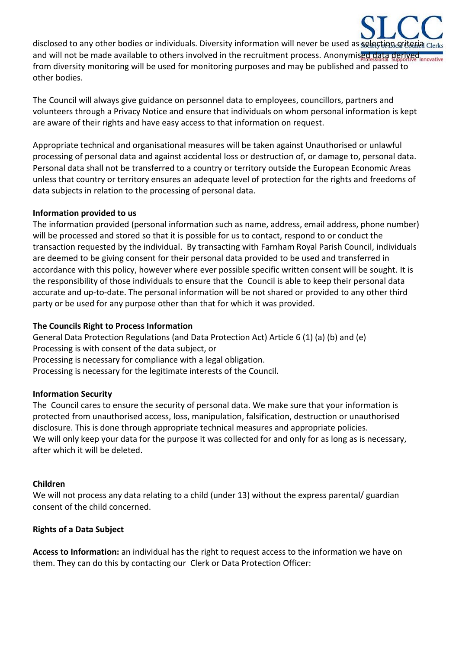disclosed to any other bodies or individuals. Diversity information will never be used as selection criterial and will not be made available to others involved in the recruitment process. Anonymised data derived nove the from diversity monitoring will be used for monitoring purposes and may be published and passed to other bodies.

The Council will always give guidance on personnel data to employees, councillors, partners and volunteers through a Privacy Notice and ensure that individuals on whom personal information is kept are aware of their rights and have easy access to that information on request.

Appropriate technical and organisational measures will be taken against Unauthorised or unlawful processing of personal data and against accidental loss or destruction of, or damage to, personal data. Personal data shall not be transferred to a country or territory outside the European Economic Areas unless that country or territory ensures an adequate level of protection for the rights and freedoms of data subjects in relation to the processing of personal data.

## **Information provided to us**

The information provided (personal information such as name, address, email address, phone number) will be processed and stored so that it is possible for us to contact, respond to or conduct the transaction requested by the individual. By transacting with Farnham Royal Parish Council, individuals are deemed to be giving consent for their personal data provided to be used and transferred in accordance with this policy, however where ever possible specific written consent will be sought. It is the responsibility of those individuals to ensure that the Council is able to keep their personal data accurate and up-to-date. The personal information will be not shared or provided to any other third party or be used for any purpose other than that for which it was provided.

## **The Councils Right to Process Information**

General Data Protection Regulations (and Data Protection Act) Article 6 (1) (a) (b) and (e) Processing is with consent of the data subject, or Processing is necessary for compliance with a legal obligation. Processing is necessary for the legitimate interests of the Council.

## **Information Security**

The Council cares to ensure the security of personal data. We make sure that your information is protected from unauthorised access, loss, manipulation, falsification, destruction or unauthorised disclosure. This is done through appropriate technical measures and appropriate policies. We will only keep your data for the purpose it was collected for and only for as long as is necessary, after which it will be deleted.

## **Children**

We will not process any data relating to a child (under 13) without the express parental/ guardian consent of the child concerned.

## **Rights of a Data Subject**

**Access to Information:** an individual has the right to request access to the information we have on them. They can do this by contacting our Clerk or Data Protection Officer: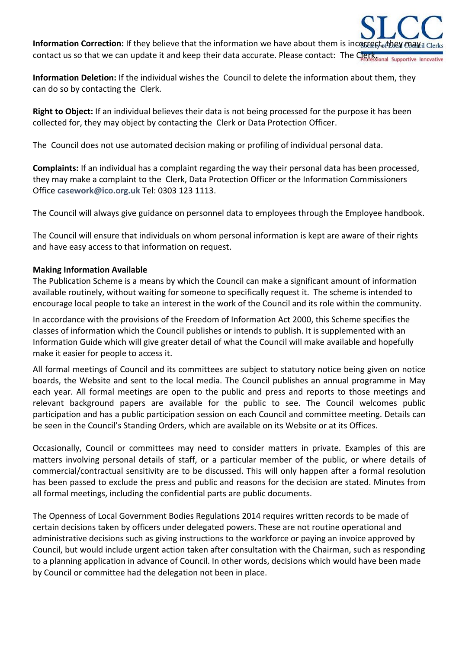**Information Correction:** If they believe that the information we have about them is incorrect, they may contact us so that we can update it and keep their data accurate. Please contact: The Clerksional Supportive Inno

**Information Deletion:** If the individual wishes the Council to delete the information about them, they can do so by contacting the Clerk.

**Right to Object:** If an individual believes their data is not being processed for the purpose it has been collected for, they may object by contacting the Clerk or Data Protection Officer.

The Council does not use automated decision making or profiling of individual personal data.

**Complaints:** If an individual has a complaint regarding the way their personal data has been processed, they may make a complaint to the Clerk, Data Protection Officer or the Information Commissioners Office **[casework@ico.org.uk](mailto:casework@ico.org.uk)** Tel: 0303 123 1113.

The Council will always give guidance on personnel data to employees through the Employee handbook.

The Council will ensure that individuals on whom personal information is kept are aware of their rights and have easy access to that information on request.

### **Making Information Available**

The Publication Scheme is a means by which the Council can make a significant amount of information available routinely, without waiting for someone to specifically request it. The scheme is intended to encourage local people to take an interest in the work of the Council and its role within the community.

In accordance with the provisions of the Freedom of Information Act 2000, this Scheme specifies the classes of information which the Council publishes or intends to publish. It is supplemented with an Information Guide which will give greater detail of what the Council will make available and hopefully make it easier for people to access it.

All formal meetings of Council and its committees are subject to statutory notice being given on notice boards, the Website and sent to the local media. The Council publishes an annual programme in May each year. All formal meetings are open to the public and press and reports to those meetings and relevant background papers are available for the public to see. The Council welcomes public participation and has a public participation session on each Council and committee meeting. Details can be seen in the Council's Standing Orders, which are available on its Website or at its Offices.

Occasionally, Council or committees may need to consider matters in private. Examples of this are matters involving personal details of staff, or a particular member of the public, or where details of commercial/contractual sensitivity are to be discussed. This will only happen after a formal resolution has been passed to exclude the press and public and reasons for the decision are stated. Minutes from all formal meetings, including the confidential parts are public documents.

The Openness of Local Government Bodies Regulations 2014 requires written records to be made of certain decisions taken by officers under delegated powers. These are not routine operational and administrative decisions such as giving instructions to the workforce or paying an invoice approved by Council, but would include urgent action taken after consultation with the Chairman, such as responding to a planning application in advance of Council. In other words, decisions which would have been made by Council or committee had the delegation not been in place.